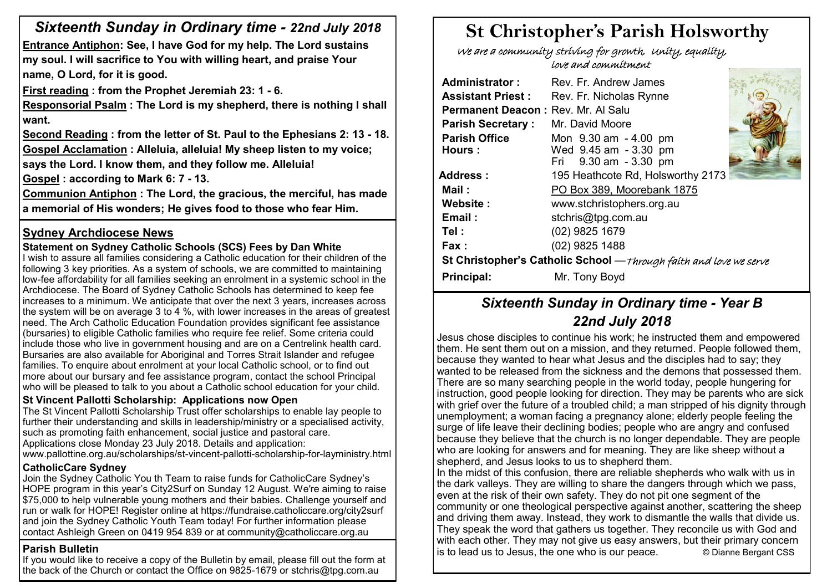# *Sixteenth Sunday in Ordinary time - 22nd July 2018*

**Entrance Antiphon: See, I have God for my help. The Lord sustains my soul. I will sacrifice to You with willing heart, and praise Your name, O Lord, for it is good.**

**First reading : from the Prophet Jeremiah 23: 1 - 6.** 

**Responsorial Psalm : The Lord is my shepherd, there is nothing I shall want.**

**Second Reading : from the letter of St. Paul to the Ephesians 2: 13 - 18. Gospel Acclamation : Alleluia, alleluia! My sheep listen to my voice; says the Lord. I know them, and they follow me. Alleluia!**

**Gospel : according to Mark 6: 7 - 13.** 

**Communion Antiphon : The Lord, the gracious, the merciful, has made a memorial of His wonders; He gives food to those who fear Him.**

# **Sydney Archdiocese News**

# **Statement on Sydney Catholic Schools (SCS) Fees by Dan White**

I wish to assure all families considering a Catholic education for their children of the following 3 key priorities. As a system of schools, we are committed to maintaining low-fee affordability for all families seeking an enrolment in a systemic school in the Archdiocese. The Board of Sydney Catholic Schools has determined to keep fee increases to a minimum. We anticipate that over the next 3 years, increases across the system will be on average 3 to 4 %, with lower increases in the areas of greatest need. The Arch Catholic Education Foundation provides significant fee assistance (bursaries) to eligible Catholic families who require fee relief. Some criteria could include those who live in government housing and are on a Centrelink health card. Bursaries are also available for Aboriginal and Torres Strait Islander and refugee families. To enquire about enrolment at your local Catholic school, or to find out more about our bursary and fee assistance program, contact the school Principal who will be pleased to talk to you about a Catholic school education for your child.

#### **St Vincent Pallotti Scholarship: Applications now Open**

The St Vincent Pallotti Scholarship Trust offer scholarships to enable lay people to further their understanding and skills in leadership/ministry or a specialised activity, such as promoting faith enhancement, social justice and pastoral care. Applications close Monday 23 July 2018. Details and application: www.pallottine.org.au/scholarships/st-vincent-pallotti-scholarship-for-layministry.html

#### **CatholicCare Sydney**

Join the Sydney Catholic You th Team to raise funds for CatholicCare Sydney's HOPE program in this year's City2Surf on Sunday 12 August. We're aiming to raise \$75,000 to help vulnerable young mothers and their babies. Challenge yourself and run or walk for HOPE! Register online at https://fundraise.catholiccare.org/city2surf and join the Sydney Catholic Youth Team today! For further information please contact Ashleigh Green on 0419 954 839 or at community@catholiccare.org.au

## **Parish Bulletin**

If you would like to receive a copy of the Bulletin by email, please fill out the form at the back of the Church or contact the Office on 9825-1679 or stchris@tpg.com.au

# **St Christopher's Parish Holsworthy**

 We are a community striving for growth, Unity, equality, love and commitment

| Rev. Fr. Andrew James                                             |                                                                                      |  |  |  |  |  |
|-------------------------------------------------------------------|--------------------------------------------------------------------------------------|--|--|--|--|--|
| Rev. Fr. Nicholas Rynne                                           |                                                                                      |  |  |  |  |  |
|                                                                   |                                                                                      |  |  |  |  |  |
| Mr. David Moore                                                   |                                                                                      |  |  |  |  |  |
| Mon 9.30 am - 4.00 pm                                             |                                                                                      |  |  |  |  |  |
|                                                                   |                                                                                      |  |  |  |  |  |
|                                                                   |                                                                                      |  |  |  |  |  |
| 195 Heathcote Rd, Holsworthy 2173                                 |                                                                                      |  |  |  |  |  |
| PO Box 389, Moorebank 1875                                        |                                                                                      |  |  |  |  |  |
| www.stchristophers.org.au                                         |                                                                                      |  |  |  |  |  |
| stchris@tpg.com.au                                                |                                                                                      |  |  |  |  |  |
| (02) 9825 1679                                                    |                                                                                      |  |  |  |  |  |
| (02) 9825 1488                                                    |                                                                                      |  |  |  |  |  |
| St Christopher's Catholic School -Through faith and love we serve |                                                                                      |  |  |  |  |  |
| Mr. Tony Boyd                                                     |                                                                                      |  |  |  |  |  |
|                                                                   | Permanent Deacon: Rev. Mr. Al Salu<br>Wed 9.45 am - 3.30 pm<br>Fri 9.30 am - 3.30 pm |  |  |  |  |  |

# *Sixteenth Sunday in Ordinary time - Year B 22nd July 2018*

Jesus chose disciples to continue his work; he instructed them and empowered them. He sent them out on a mission, and they returned. People followed them, because they wanted to hear what Jesus and the disciples had to say; they wanted to be released from the sickness and the demons that possessed them. There are so many searching people in the world today, people hungering for instruction, good people looking for direction. They may be parents who are sick with grief over the future of a troubled child; a man stripped of his dignity through unemployment; a woman facing a pregnancy alone; elderly people feeling the surge of life leave their declining bodies; people who are angry and confused because they believe that the church is no longer dependable. They are people who are looking for answers and for meaning. They are like sheep without a shepherd, and Jesus looks to us to shepherd them.

In the midst of this confusion, there are reliable shepherds who walk with us in the dark valleys. They are willing to share the dangers through which we pass, even at the risk of their own safety. They do not pit one segment of the community or one theological perspective against another, scattering the sheep and driving them away. Instead, they work to dismantle the walls that divide us. They speak the word that gathers us together. They reconcile us with God and with each other. They may not give us easy answers, but their primary concern is to lead us to Jesus, the one who is our peace. © Dianne Bergant CSS